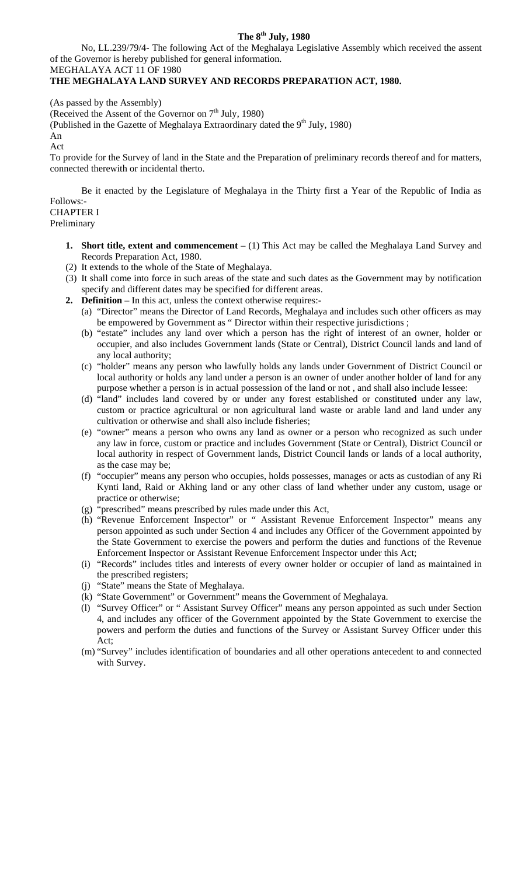### **The 8th July, 1980**

No, LL.239/79/4- The following Act of the Meghalaya Legislative Assembly which received the assent of the Governor is hereby published for general information.

#### MEGHALAYA ACT 11 OF 1980 **THE MEGHALAYA LAND SURVEY AND RECORDS PREPARATION ACT, 1980.**

(As passed by the Assembly)

(Received the Assent of the Governor on  $7<sup>th</sup>$  July, 1980)

(Published in the Gazette of Meghalaya Extraordinary dated the  $9<sup>th</sup>$  July, 1980)

An

Act

To provide for the Survey of land in the State and the Preparation of preliminary records thereof and for matters, connected therewith or incidental therto.

Be it enacted by the Legislature of Meghalaya in the Thirty first a Year of the Republic of India as Follows:- CHAPTER I

# Preliminary

- **1.** Short title, extent and commencement (1) This Act may be called the Meghalaya Land Survey and Records Preparation Act, 1980.
- (2) It extends to the whole of the State of Meghalaya.
- (3) It shall come into force in such areas of the state and such dates as the Government may by notification specify and different dates may be specified for different areas.
- **2. Definition** In this act, unless the context otherwise requires:-
	- (a) "Director" means the Director of Land Records, Meghalaya and includes such other officers as may be empowered by Government as " Director within their respective jurisdictions ;
	- (b) "estate" includes any land over which a person has the right of interest of an owner, holder or occupier, and also includes Government lands (State or Central), District Council lands and land of any local authority;
	- (c) "holder" means any person who lawfully holds any lands under Government of District Council or local authority or holds any land under a person is an owner of under another holder of land for any purpose whether a person is in actual possession of the land or not , and shall also include lessee:
	- (d) "land" includes land covered by or under any forest established or constituted under any law, custom or practice agricultural or non agricultural land waste or arable land and land under any cultivation or otherwise and shall also include fisheries;
	- (e) "owner" means a person who owns any land as owner or a person who recognized as such under any law in force, custom or practice and includes Government (State or Central), District Council or local authority in respect of Government lands, District Council lands or lands of a local authority, as the case may be;
	- (f) "occupier" means any person who occupies, holds possesses, manages or acts as custodian of any Ri Kynti land, Raid or Akhing land or any other class of land whether under any custom, usage or practice or otherwise;
	- (g) "prescribed" means prescribed by rules made under this Act,
	- (h) "Revenue Enforcement Inspector" or " Assistant Revenue Enforcement Inspector" means any person appointed as such under Section 4 and includes any Officer of the Government appointed by the State Government to exercise the powers and perform the duties and functions of the Revenue Enforcement Inspector or Assistant Revenue Enforcement Inspector under this Act;
	- (i) "Records" includes titles and interests of every owner holder or occupier of land as maintained in the prescribed registers;
	- (j) "State" means the State of Meghalaya.
	- (k) "State Government" or Government" means the Government of Meghalaya.
	- (l) "Survey Officer" or " Assistant Survey Officer" means any person appointed as such under Section 4, and includes any officer of the Government appointed by the State Government to exercise the powers and perform the duties and functions of the Survey or Assistant Survey Officer under this Act;
	- (m) "Survey" includes identification of boundaries and all other operations antecedent to and connected with Survey.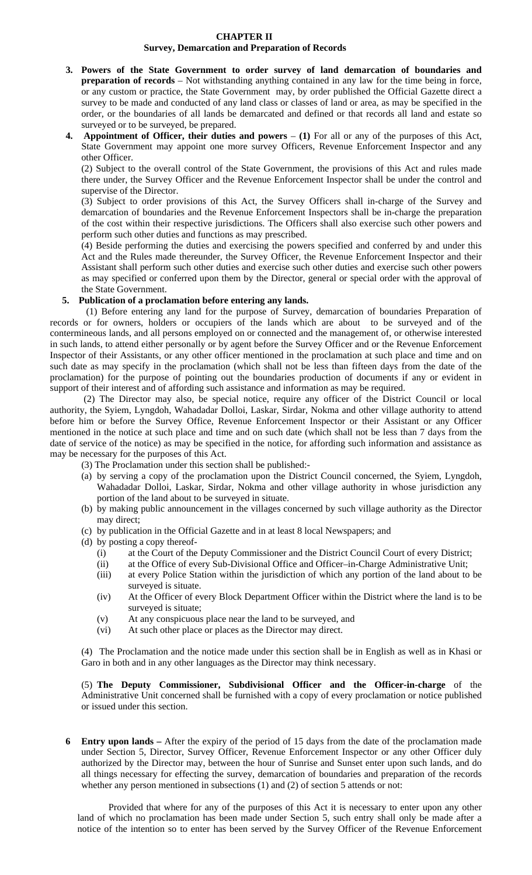#### **CHAPTER II Survey, Demarcation and Preparation of Records**

- **3. Powers of the State Government to order survey of land demarcation of boundaries and preparation of records** – Not withstanding anything contained in any law for the time being in force, or any custom or practice, the State Government may, by order published the Official Gazette direct a survey to be made and conducted of any land class or classes of land or area, as may be specified in the order, or the boundaries of all lands be demarcated and defined or that records all land and estate so surveyed or to be surveyed, be prepared.
- **4. Appointment of Officer, their duties and powers (1)** For all or any of the purposes of this Act, State Government may appoint one more survey Officers, Revenue Enforcement Inspector and any other Officer.

(2) Subject to the overall control of the State Government, the provisions of this Act and rules made there under, the Survey Officer and the Revenue Enforcement Inspector shall be under the control and supervise of the Director.

(3) Subject to order provisions of this Act, the Survey Officers shall in-charge of the Survey and demarcation of boundaries and the Revenue Enforcement Inspectors shall be in-charge the preparation of the cost within their respective jurisdictions. The Officers shall also exercise such other powers and perform such other duties and functions as may prescribed.

(4) Beside performing the duties and exercising the powers specified and conferred by and under this Act and the Rules made thereunder, the Survey Officer, the Revenue Enforcement Inspector and their Assistant shall perform such other duties and exercise such other duties and exercise such other powers as may specified or conferred upon them by the Director, general or special order with the approval of the State Government.

### **5. Publication of a proclamation before entering any lands.**

(1) Before entering any land for the purpose of Survey, demarcation of boundaries Preparation of records or for owners, holders or occupiers of the lands which are about to be surveyed and of the contermineous lands, and all persons employed on or connected and the management of, or otherwise interested in such lands, to attend either personally or by agent before the Survey Officer and or the Revenue Enforcement Inspector of their Assistants, or any other officer mentioned in the proclamation at such place and time and on such date as may specify in the proclamation (which shall not be less than fifteen days from the date of the proclamation) for the purpose of pointing out the boundaries production of documents if any or evident in support of their interest and of affording such assistance and information as may be required.

(2) The Director may also, be special notice, require any officer of the District Council or local authority, the Syiem, Lyngdoh, Wahadadar Dolloi, Laskar, Sirdar, Nokma and other village authority to attend before him or before the Survey Office, Revenue Enforcement Inspector or their Assistant or any Officer mentioned in the notice at such place and time and on such date (which shall not be less than 7 days from the date of service of the notice) as may be specified in the notice, for affording such information and assistance as may be necessary for the purposes of this Act.

(3) The Proclamation under this section shall be published:-

- (a) by serving a copy of the proclamation upon the District Council concerned, the Syiem, Lyngdoh, Wahadadar Dolloi, Laskar, Sirdar, Nokma and other village authority in whose jurisdiction any portion of the land about to be surveyed in situate.
- (b) by making public announcement in the villages concerned by such village authority as the Director may direct;
- (c) by publication in the Official Gazette and in at least 8 local Newspapers; and
- (d) by posting a copy thereof-
	- (i) at the Court of the Deputy Commissioner and the District Council Court of every District;
	- (ii) at the Office of every Sub-Divisional Office and Officer–in-Charge Administrative Unit;
	- (iii) at every Police Station within the jurisdiction of which any portion of the land about to be surveyed is situate.
	- (iv) At the Officer of every Block Department Officer within the District where the land is to be surveyed is situate;
	- (v) At any conspicuous place near the land to be surveyed, and
	- (vi) At such other place or places as the Director may direct.

(4) The Proclamation and the notice made under this section shall be in English as well as in Khasi or Garo in both and in any other languages as the Director may think necessary.

(5) **The Deputy Commissioner, Subdivisional Officer and the Officer-in-charge** of the Administrative Unit concerned shall be furnished with a copy of every proclamation or notice published or issued under this section.

**Entry upon lands –** After the expiry of the period of 15 days from the date of the proclamation made **6** under Section 5, Director, Survey Officer, Revenue Enforcement Inspector or any other Officer duly authorized by the Director may, between the hour of Sunrise and Sunset enter upon such lands, and do all things necessary for effecting the survey, demarcation of boundaries and preparation of the records whether any person mentioned in subsections (1) and (2) of section 5 attends or not:

 Provided that where for any of the purposes of this Act it is necessary to enter upon any other land of which no proclamation has been made under Section 5, such entry shall only be made after a notice of the intention so to enter has been served by the Survey Officer of the Revenue Enforcement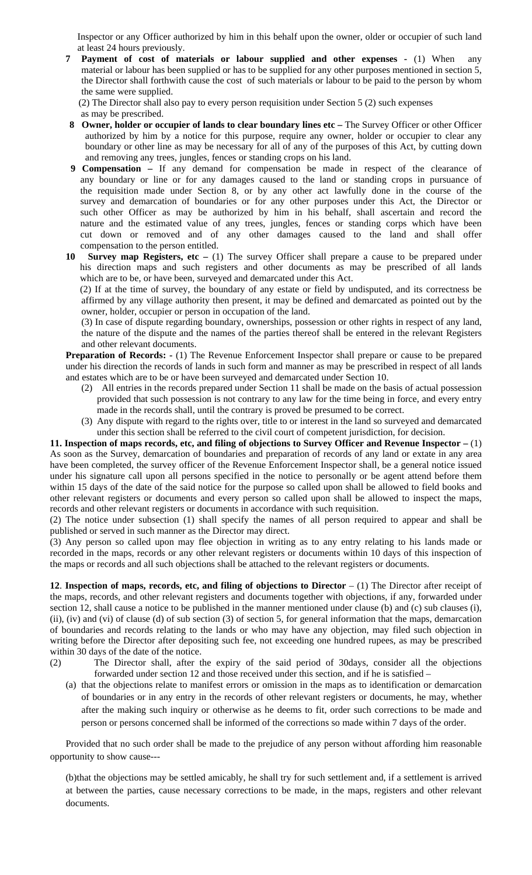Inspector or any Officer authorized by him in this behalf upon the owner, older or occupier of such land at least 24 hours previously.

- **7 Payment of cost of materials or labour supplied and other expenses** (1) When any material or labour has been supplied or has to be supplied for any other purposes mentioned in section 5, the Director shall forthwith cause the cost of such materials or labour to be paid to the person by whom the same were supplied.
	- (2) The Director shall also pay to every person requisition under Section 5 (2) such expenses as may be prescribed.
- **8 Owner, holder or occupier of lands to clear boundary lines etc –** The Survey Officer or other Officer authorized by him by a notice for this purpose, require any owner, holder or occupier to clear any boundary or other line as may be necessary for all of any of the purposes of this Act, by cutting down and removing any trees, jungles, fences or standing crops on his land.
- **9 Compensation** If any demand for compensation be made in respect of the clearance of any boundary or line or for any damages caused to the land or standing crops in pursuance of the requisition made under Section 8, or by any other act lawfully done in the course of the survey and demarcation of boundaries or for any other purposes under this Act, the Director or such other Officer as may be authorized by him in his behalf, shall ascertain and record the nature and the estimated value of any trees, jungles, fences or standing corps which have been cut down or removed and of any other damages caused to the land and shall offer compensation to the person entitled.
- 10 Survey map Registers, etc (1) The survey Officer shall prepare a cause to be prepared under his direction maps and such registers and other documents as may be prescribed of all lands which are to be, or have been, surveyed and demarcated under this Act.

(2) If at the time of survey, the boundary of any estate or field by undisputed, and its correctness be affirmed by any village authority then present, it may be defined and demarcated as pointed out by the owner, holder, occupier or person in occupation of the land.

(3) In case of dispute regarding boundary, ownerships, possession or other rights in respect of any land, the nature of the dispute and the names of the parties thereof shall be entered in the relevant Registers and other relevant documents.

**Preparation of Records: -** (1) The Revenue Enforcement Inspector shall prepare or cause to be prepared under his direction the records of lands in such form and manner as may be prescribed in respect of all lands and estates which are to be or have been surveyed and demarcated under Section 10.

- (2) All entries in the records prepared under Section 11 shall be made on the basis of actual possession provided that such possession is not contrary to any law for the time being in force, and every entry made in the records shall, until the contrary is proved be presumed to be correct.
- (3) Any dispute with regard to the rights over, title to or interest in the land so surveyed and demarcated under this section shall be referred to the civil court of competent jurisdiction, for decision.

**11. Inspection of maps records, etc, and filing of objections to Survey Officer and Revenue Inspector –** (1) As soon as the Survey, demarcation of boundaries and preparation of records of any land or extate in any area have been completed, the survey officer of the Revenue Enforcement Inspector shall, be a general notice issued under his signature call upon all persons specified in the notice to personally or be agent attend before them within 15 days of the date of the said notice for the purpose so called upon shall be allowed to field books and other relevant registers or documents and every person so called upon shall be allowed to inspect the maps, records and other relevant registers or documents in accordance with such requisition.

(2) The notice under subsection (1) shall specify the names of all person required to appear and shall be published or served in such manner as the Director may direct.

(3) Any person so called upon may flee objection in writing as to any entry relating to his lands made or recorded in the maps, records or any other relevant registers or documents within 10 days of this inspection of the maps or records and all such objections shall be attached to the relevant registers or documents.

**12**. **Inspection of maps, records, etc, and filing of objections to Director** – (1) The Director after receipt of the maps, records, and other relevant registers and documents together with objections, if any, forwarded under section 12, shall cause a notice to be published in the manner mentioned under clause (b) and (c) sub clauses (i), (ii), (iv) and (vi) of clause (d) of sub section (3) of section 5, for general information that the maps, demarcation of boundaries and records relating to the lands or who may have any objection, may filed such objection in writing before the Director after depositing such fee, not exceeding one hundred rupees, as may be prescribed within 30 days of the date of the notice.

(2) The Director shall, after the expiry of the said period of 30days, consider all the objections forwarded under section 12 and those received under this section, and if he is satisfied –

(a) that the objections relate to manifest errors or omission in the maps as to identification or demarcation of boundaries or in any entry in the records of other relevant registers or documents, he may, whether after the making such inquiry or otherwise as he deems to fit, order such corrections to be made and person or persons concerned shall be informed of the corrections so made within 7 days of the order.

Provided that no such order shall be made to the prejudice of any person without affording him reasonable opportunity to show cause---

(b)that the objections may be settled amicably, he shall try for such settlement and, if a settlement is arrived at between the parties, cause necessary corrections to be made, in the maps, registers and other relevant documents.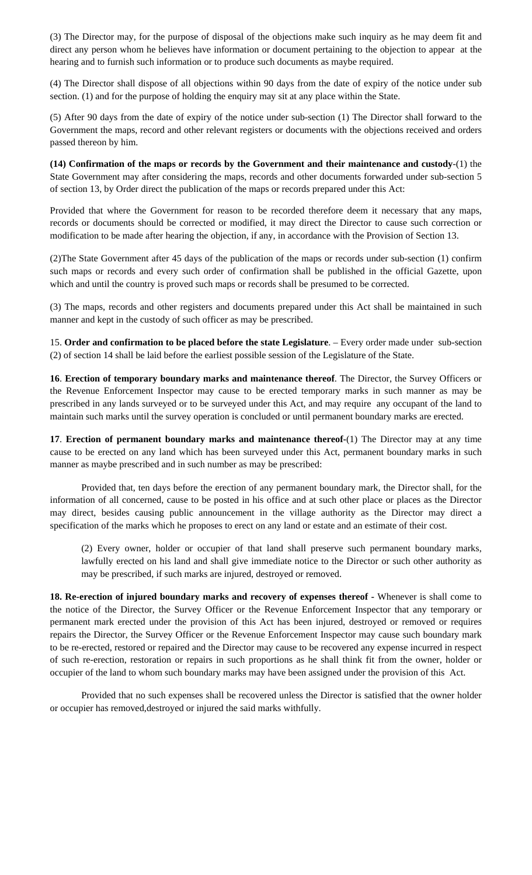(3) The Director may, for the purpose of disposal of the objections make such inquiry as he may deem fit and direct any person whom he believes have information or document pertaining to the objection to appear at the hearing and to furnish such information or to produce such documents as maybe required.

(4) The Director shall dispose of all objections within 90 days from the date of expiry of the notice under sub section. (1) and for the purpose of holding the enquiry may sit at any place within the State.

(5) After 90 days from the date of expiry of the notice under sub-section (1) The Director shall forward to the Government the maps, record and other relevant registers or documents with the objections received and orders passed thereon by him.

**(14) Confirmation of the maps or records by the Government and their maintenance and custody**-(1) the State Government may after considering the maps, records and other documents forwarded under sub-section 5 of section 13, by Order direct the publication of the maps or records prepared under this Act:

Provided that where the Government for reason to be recorded therefore deem it necessary that any maps, records or documents should be corrected or modified, it may direct the Director to cause such correction or modification to be made after hearing the objection, if any, in accordance with the Provision of Section 13.

(2)The State Government after 45 days of the publication of the maps or records under sub-section (1) confirm such maps or records and every such order of confirmation shall be published in the official Gazette, upon which and until the country is proved such maps or records shall be presumed to be corrected.

(3) The maps, records and other registers and documents prepared under this Act shall be maintained in such manner and kept in the custody of such officer as may be prescribed.

15. **Order and confirmation to be placed before the state Legislature**. – Every order made under sub-section (2) of section 14 shall be laid before the earliest possible session of the Legislature of the State.

**16**. **Erection of temporary boundary marks and maintenance thereof**. The Director, the Survey Officers or the Revenue Enforcement Inspector may cause to be erected temporary marks in such manner as may be prescribed in any lands surveyed or to be surveyed under this Act, and may require any occupant of the land to maintain such marks until the survey operation is concluded or until permanent boundary marks are erected.

**17**. **Erection of permanent boundary marks and maintenance thereof-**(1) The Director may at any time cause to be erected on any land which has been surveyed under this Act, permanent boundary marks in such manner as maybe prescribed and in such number as may be prescribed:

Provided that, ten days before the erection of any permanent boundary mark, the Director shall, for the information of all concerned, cause to be posted in his office and at such other place or places as the Director may direct, besides causing public announcement in the village authority as the Director may direct a specification of the marks which he proposes to erect on any land or estate and an estimate of their cost.

(2) Every owner, holder or occupier of that land shall preserve such permanent boundary marks, lawfully erected on his land and shall give immediate notice to the Director or such other authority as may be prescribed, if such marks are injured, destroyed or removed.

**18. Re-erection of injured boundary marks and recovery of expenses thereof -** Whenever is shall come to the notice of the Director, the Survey Officer or the Revenue Enforcement Inspector that any temporary or permanent mark erected under the provision of this Act has been injured, destroyed or removed or requires repairs the Director, the Survey Officer or the Revenue Enforcement Inspector may cause such boundary mark to be re-erected, restored or repaired and the Director may cause to be recovered any expense incurred in respect of such re-erection, restoration or repairs in such proportions as he shall think fit from the owner, holder or occupier of the land to whom such boundary marks may have been assigned under the provision of this Act.

Provided that no such expenses shall be recovered unless the Director is satisfied that the owner holder or occupier has removed,destroyed or injured the said marks withfully.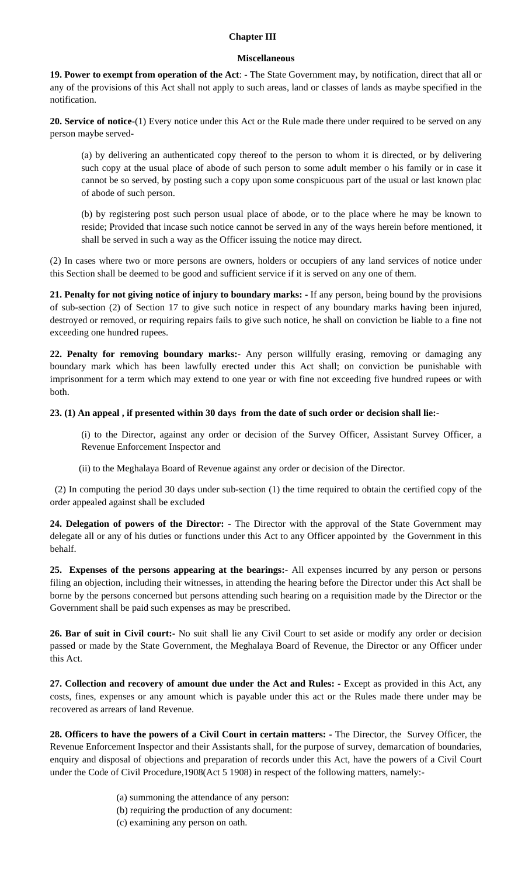### **Chapter III**

#### **Miscellaneous**

**19. Power to exempt from operation of the Act**: - The State Government may, by notification, direct that all or any of the provisions of this Act shall not apply to such areas, land or classes of lands as maybe specified in the notification.

**20. Service of notice**-(1) Every notice under this Act or the Rule made there under required to be served on any person maybe served-

(a) by delivering an authenticated copy thereof to the person to whom it is directed, or by delivering such copy at the usual place of abode of such person to some adult member o his family or in case it cannot be so served, by posting such a copy upon some conspicuous part of the usual or last known plac of abode of such person.

(b) by registering post such person usual place of abode, or to the place where he may be known to reside; Provided that incase such notice cannot be served in any of the ways herein before mentioned, it shall be served in such a way as the Officer issuing the notice may direct.

(2) In cases where two or more persons are owners, holders or occupiers of any land services of notice under this Section shall be deemed to be good and sufficient service if it is served on any one of them.

**21. Penalty for not giving notice of injury to boundary marks: -** If any person, being bound by the provisions of sub-section (2) of Section 17 to give such notice in respect of any boundary marks having been injured, destroyed or removed, or requiring repairs fails to give such notice, he shall on conviction be liable to a fine not exceeding one hundred rupees.

**22. Penalty for removing boundary marks:-** Any person willfully erasing, removing or damaging any boundary mark which has been lawfully erected under this Act shall; on conviction be punishable with imprisonment for a term which may extend to one year or with fine not exceeding five hundred rupees or with both.

## **23. (1) An appeal , if presented within 30 days from the date of such order or decision shall lie:-**

(i) to the Director, against any order or decision of the Survey Officer, Assistant Survey Officer, a Revenue Enforcement Inspector and

(ii) to the Meghalaya Board of Revenue against any order or decision of the Director.

(2) In computing the period 30 days under sub-section (1) the time required to obtain the certified copy of the order appealed against shall be excluded

**24. Delegation of powers of the Director: -** The Director with the approval of the State Government may delegate all or any of his duties or functions under this Act to any Officer appointed by the Government in this behalf.

**25. Expenses of the persons appearing at the bearings:-** All expenses incurred by any person or persons filing an objection, including their witnesses, in attending the hearing before the Director under this Act shall be borne by the persons concerned but persons attending such hearing on a requisition made by the Director or the Government shall be paid such expenses as may be prescribed.

**26. Bar of suit in Civil court:-** No suit shall lie any Civil Court to set aside or modify any order or decision passed or made by the State Government, the Meghalaya Board of Revenue, the Director or any Officer under this Act.

**27. Collection and recovery of amount due under the Act and Rules: -** Except as provided in this Act, any costs, fines, expenses or any amount which is payable under this act or the Rules made there under may be recovered as arrears of land Revenue.

**28. Officers to have the powers of a Civil Court in certain matters: -** The Director, the Survey Officer, the Revenue Enforcement Inspector and their Assistants shall, for the purpose of survey, demarcation of boundaries, enquiry and disposal of objections and preparation of records under this Act, have the powers of a Civil Court under the Code of Civil Procedure,1908(Act 5 1908) in respect of the following matters, namely:-

- (a) summoning the attendance of any person:
- (b) requiring the production of any document:
- (c) examining any person on oath.